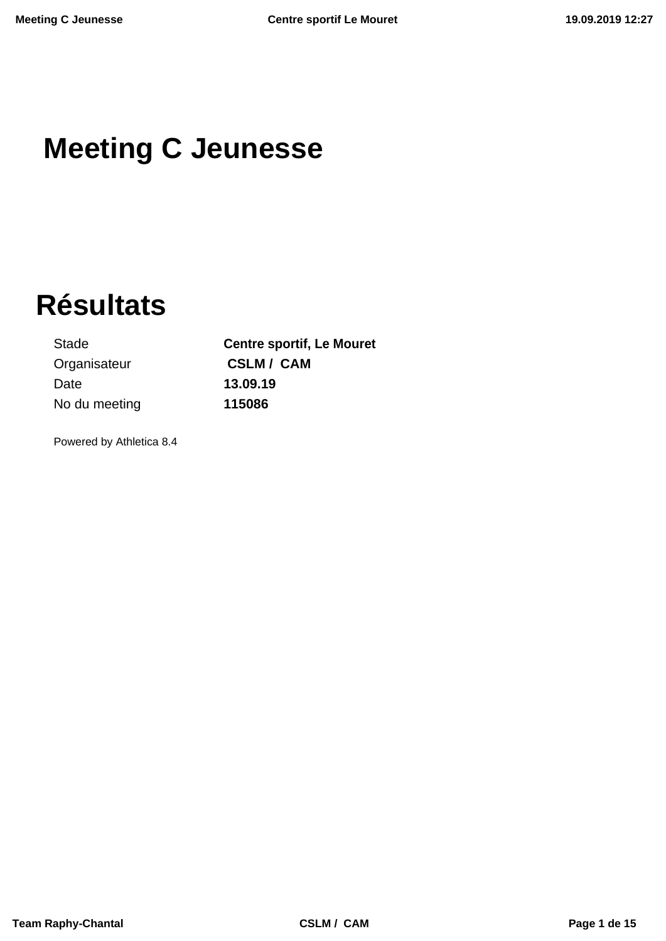# **Meeting C Jeunesse**

# **Résultats**

Organisateur **CSLM / CAM** Date **13.09.19** No du meeting **115086**

Stade **Centre sportif, Le Mouret**

Powered by Athletica 8.4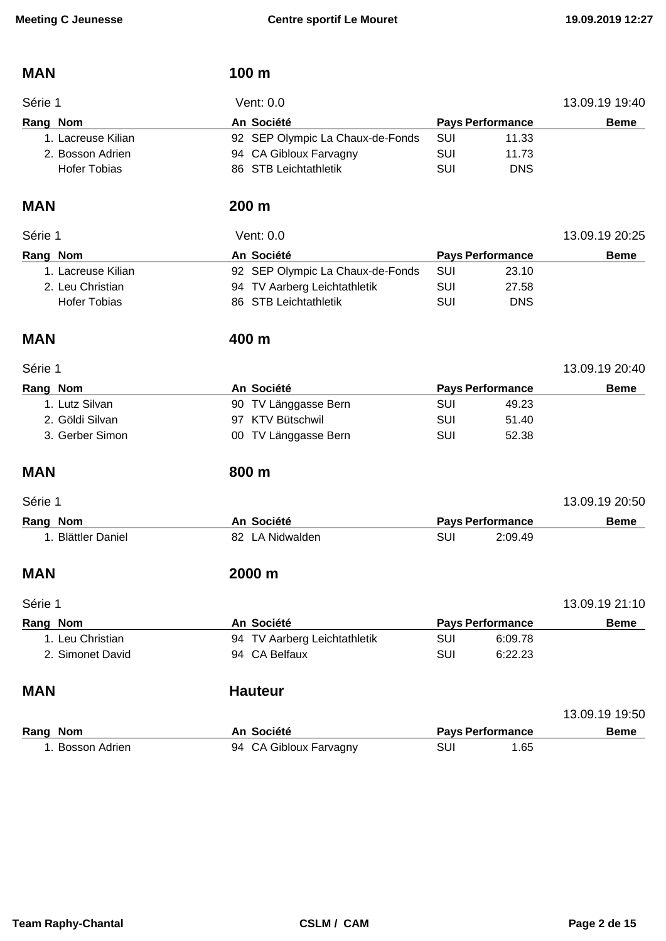| <b>MAN</b>          | 100 m                            |            |                         |                |
|---------------------|----------------------------------|------------|-------------------------|----------------|
| Série 1             | Vent: 0.0                        |            |                         | 13.09.19 19:40 |
| Rang Nom            | An Société                       |            | <b>Pays Performance</b> | <b>Beme</b>    |
| 1. Lacreuse Kilian  | 92 SEP Olympic La Chaux-de-Fonds | SUI        | 11.33                   |                |
| 2. Bosson Adrien    | 94 CA Gibloux Farvagny           | SUI        | 11.73                   |                |
| <b>Hofer Tobias</b> | 86 STB Leichtathletik            | SUI        | <b>DNS</b>              |                |
| <b>MAN</b>          | 200 m                            |            |                         |                |
| Série 1             | Vent: 0.0                        |            |                         | 13.09.19 20:25 |
| Rang Nom            | An Société                       |            | <b>Pays Performance</b> | <b>Beme</b>    |
| 1. Lacreuse Kilian  | 92 SEP Olympic La Chaux-de-Fonds | SUI        | 23.10                   |                |
| 2. Leu Christian    | 94 TV Aarberg Leichtathletik     | <b>SUI</b> | 27.58                   |                |
| <b>Hofer Tobias</b> | 86 STB Leichtathletik            | SUI        | <b>DNS</b>              |                |
| <b>MAN</b>          | 400 m                            |            |                         |                |
| Série 1             |                                  |            |                         | 13.09.19 20:40 |
| Rang Nom            | An Société                       |            | <b>Pays Performance</b> | <b>Beme</b>    |
| 1. Lutz Silvan      | 90 TV Länggasse Bern             | <b>SUI</b> | 49.23                   |                |
| 2. Göldi Silvan     | 97 KTV Bütschwil                 | SUI        | 51.40                   |                |
| 3. Gerber Simon     | 00 TV Länggasse Bern             | SUI        | 52.38                   |                |
| <b>MAN</b>          | 800 m                            |            |                         |                |
| Série 1             |                                  |            |                         | 13.09.19 20:50 |
| Rang Nom            | An Société                       |            | <b>Pays Performance</b> | <b>Beme</b>    |
| 1. Blättler Daniel  | 82 LA Nidwalden                  | SUI        | 2:09.49                 |                |
| <b>MAN</b>          | 2000 m                           |            |                         |                |
| Série 1             |                                  |            |                         | 13.09.19 21:10 |
| Rang Nom            | An Société                       |            | <b>Pays Performance</b> | <b>Beme</b>    |
| 1. Leu Christian    | 94 TV Aarberg Leichtathletik     | <b>SUI</b> | 6:09.78                 |                |
| 2. Simonet David    | 94 CA Belfaux                    | SUI        | 6:22.23                 |                |
| <b>MAN</b>          | <b>Hauteur</b>                   |            |                         |                |
|                     |                                  |            |                         | 13.09.19 19:50 |
| Rang Nom            | An Société                       |            | <b>Pays Performance</b> | <b>Beme</b>    |
| 1. Bosson Adrien    | 94 CA Gibloux Farvagny           | SUI        | 1.65                    |                |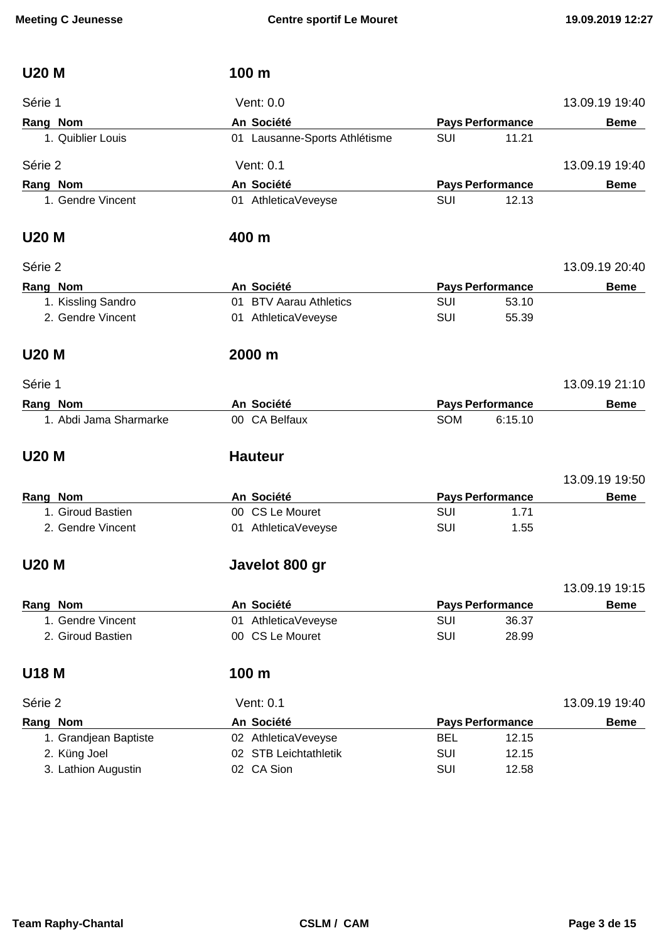| <b>U20 M</b>           | 100 m                         |            |                         |                |
|------------------------|-------------------------------|------------|-------------------------|----------------|
| Série 1                | Vent: 0.0                     |            |                         | 13.09.19 19:40 |
| Rang Nom               | An Société                    |            | <b>Pays Performance</b> | <b>Beme</b>    |
| 1. Quiblier Louis      | 01 Lausanne-Sports Athlétisme | SUI        | 11.21                   |                |
| Série 2                | Vent: 0.1                     |            |                         | 13.09.19 19:40 |
| Rang Nom               | An Société                    |            | <b>Pays Performance</b> | <b>Beme</b>    |
| 1. Gendre Vincent      | 01 AthleticaVeveyse           | <b>SUI</b> | 12.13                   |                |
| <b>U20 M</b>           | 400 m                         |            |                         |                |
| Série 2                |                               |            |                         | 13.09.19 20:40 |
| Rang Nom               | An Société                    |            | <b>Pays Performance</b> | <b>Beme</b>    |
| 1. Kissling Sandro     | 01 BTV Aarau Athletics        | <b>SUI</b> | 53.10                   |                |
| 2. Gendre Vincent      | 01 AthleticaVeveyse           | SUI        | 55.39                   |                |
| <b>U20 M</b>           | 2000 m                        |            |                         |                |
| Série 1                |                               |            |                         | 13.09.19 21:10 |
| Rang Nom               | An Société                    |            | <b>Pays Performance</b> | <b>Beme</b>    |
| 1. Abdi Jama Sharmarke | 00 CA Belfaux                 | SOM        | 6:15.10                 |                |
| <b>U20 M</b>           | <b>Hauteur</b>                |            |                         |                |
|                        |                               |            |                         | 13.09.19 19:50 |
| Rang Nom               | An Société                    |            | <b>Pays Performance</b> | <b>Beme</b>    |
| 1. Giroud Bastien      | 00 CS Le Mouret               | SUI        | 1.71                    |                |
| 2. Gendre Vincent      | 01 AthleticaVeveyse           | <b>SUI</b> | 1.55                    |                |
| <b>U20 M</b>           | Javelot 800 gr                |            |                         |                |
|                        |                               |            |                         | 13.09.19 19:15 |
| Rang Nom               | An Société                    |            | <b>Pays Performance</b> | <b>Beme</b>    |
| 1. Gendre Vincent      | 01 AthleticaVeveyse           | <b>SUI</b> | 36.37                   |                |
| 2. Giroud Bastien      | 00 CS Le Mouret               | <b>SUI</b> | 28.99                   |                |
| <b>U18 M</b>           | 100 m                         |            |                         |                |
| Série 2                | Vent: 0.1                     |            |                         | 13.09.19 19:40 |
| Rang Nom               | An Société                    |            | <b>Pays Performance</b> | <b>Beme</b>    |
| 1. Grandjean Baptiste  | 02 AthleticaVeveyse           | <b>BEL</b> | 12.15                   |                |
| 2. Küng Joel           | 02 STB Leichtathletik         | <b>SUI</b> | 12.15                   |                |
| 3. Lathion Augustin    | 02 CA Sion                    | <b>SUI</b> | 12.58                   |                |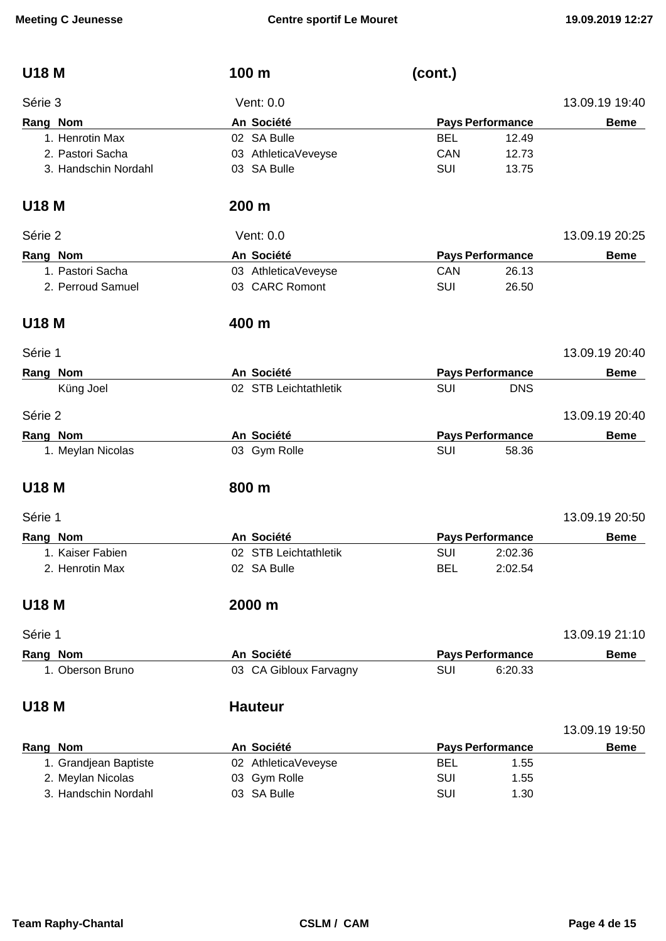| <b>U18 M</b>          | 100 m                  | (cont.)                  |                |
|-----------------------|------------------------|--------------------------|----------------|
| Série 3               | Vent: 0.0              |                          | 13.09.19 19:40 |
| Rang Nom              | An Société             | <b>Pays Performance</b>  | <b>Beme</b>    |
| 1. Henrotin Max       | 02 SA Bulle            | <b>BEL</b><br>12.49      |                |
| 2. Pastori Sacha      | 03 AthleticaVeveyse    | CAN<br>12.73             |                |
| 3. Handschin Nordahl  | 03 SA Bulle            | <b>SUI</b><br>13.75      |                |
| <b>U18 M</b>          | 200 m                  |                          |                |
| Série 2               | Vent: 0.0              |                          | 13.09.19 20:25 |
| Rang Nom              | An Société             | <b>Pays Performance</b>  | <b>Beme</b>    |
| 1. Pastori Sacha      | 03 AthleticaVeveyse    | CAN<br>26.13             |                |
| 2. Perroud Samuel     | 03 CARC Romont         | <b>SUI</b><br>26.50      |                |
| <b>U18 M</b>          | 400 m                  |                          |                |
| Série 1               |                        |                          | 13.09.19 20:40 |
| Rang Nom              | An Société             | <b>Pays Performance</b>  | <b>Beme</b>    |
| Küng Joel             | 02 STB Leichtathletik  | <b>SUI</b><br><b>DNS</b> |                |
| Série 2               |                        |                          | 13.09.19 20:40 |
| Rang Nom              | An Société             | <b>Pays Performance</b>  | <b>Beme</b>    |
| 1. Meylan Nicolas     | 03 Gym Rolle           | SUI<br>58.36             |                |
| <b>U18 M</b>          | 800 m                  |                          |                |
| Série 1               |                        |                          | 13.09.19 20:50 |
| Rang Nom              | An Société             | <b>Pays Performance</b>  | <b>Beme</b>    |
| 1. Kaiser Fabien      | 02 STB Leichtathletik  | <b>SUI</b><br>2:02.36    |                |
| 2. Henrotin Max       | 02 SA Bulle            | <b>BEL</b><br>2:02.54    |                |
| <b>U18 M</b>          | 2000 m                 |                          |                |
| Série 1               |                        |                          | 13.09.19 21:10 |
| Rang Nom              | An Société             | <b>Pays Performance</b>  | <b>Beme</b>    |
| 1. Oberson Bruno      | 03 CA Gibloux Farvagny | SUI<br>6:20.33           |                |
| <b>U18 M</b>          | <b>Hauteur</b>         |                          |                |
|                       |                        |                          | 13.09.19 19:50 |
| Rang Nom              | An Société             | <b>Pays Performance</b>  | <b>Beme</b>    |
| 1. Grandjean Baptiste | 02 AthleticaVeveyse    | <b>BEL</b><br>1.55       |                |
| 2. Meylan Nicolas     | 03 Gym Rolle           | SUI<br>1.55              |                |

3. Handschin Nordahl 03 SA Bulle SUI 501 SUI 1.30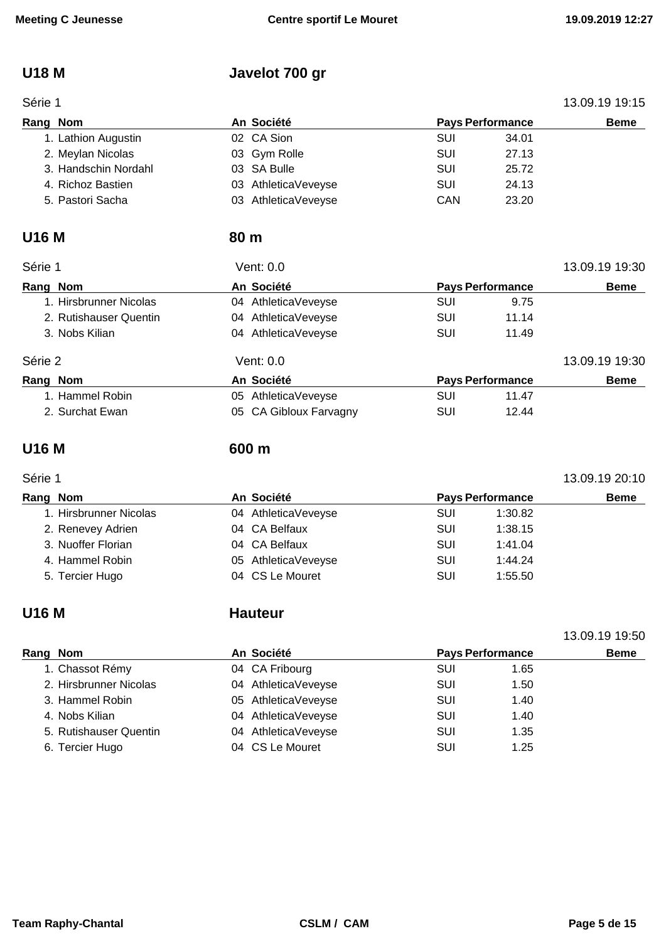# **U18 M Javelot 700 gr**

| Série 1              |                     | 13.09.19 19:15 |                         |             |
|----------------------|---------------------|----------------|-------------------------|-------------|
| Rang Nom             | An Société          |                | <b>Pays Performance</b> | <b>Beme</b> |
| 1. Lathion Augustin  | 02 CA Sion          | SUI            | 34.01                   |             |
| 2. Meylan Nicolas    | 03 Gym Rolle        | SUI            | 27.13                   |             |
| 3. Handschin Nordahl | 03 SA Bulle         | SUI            | 25.72                   |             |
| 4. Richoz Bastien    | 03 AthleticaVeveyse | SUI            | 24.13                   |             |
| 5. Pastori Sacha     | 03 AthleticaVeveyse | CAN            | 23.20                   |             |

### **U16 M 80 m**

| Série 1                | Vent: 0.0              |     |                         | 13.09.19 19:30 |  |
|------------------------|------------------------|-----|-------------------------|----------------|--|
| Rang Nom               | An Société             |     | <b>Pays Performance</b> |                |  |
| 1. Hirsbrunner Nicolas | 04 AthleticaVeveyse    | SUI | 9.75                    |                |  |
| 2. Rutishauser Quentin | 04 AthleticaVeveyse    | SUI | 11.14                   |                |  |
| 3. Nobs Kilian         | 04 AthleticaVeveyse    | SUI | 11.49                   |                |  |
| Série 2                | Vent: 0.0              |     |                         | 13.09.19 19:30 |  |
| Rang Nom               | An Société             |     | <b>Pays Performance</b> | <b>Beme</b>    |  |
| 1. Hammel Robin        | 05 AthleticaVeveyse    | SUI | 11.47                   |                |  |
| 2. Surchat Ewan        | 05 CA Gibloux Farvagny | SUI | 12.44                   |                |  |

### **U16 M 600 m**

# Série 1 13.09.19 20:10

13.09.19 19:50

| Rang Nom |                        | An Société          | <b>Pays Performance</b> |         | <b>Beme</b> |
|----------|------------------------|---------------------|-------------------------|---------|-------------|
|          | 1. Hirsbrunner Nicolas | 04 AthleticaVeveyse | <b>SUI</b>              | 1:30.82 |             |
|          | 2. Renevey Adrien      | 04 CA Belfaux       | <b>SUI</b>              | 1:38.15 |             |
|          | 3. Nuoffer Florian     | 04 CA Belfaux       | SUI                     | 1:41.04 |             |
|          | 4. Hammel Robin        | 05 AthleticaVeveyse | SUI                     | 1:44.24 |             |
|          | 5. Tercier Hugo        | 04 CS Le Mouret     | SUI                     | 1:55.50 |             |

### **U16 M Hauteur**

| Rang Nom |                        | An Société          | <b>Pays Performance</b> | <b>Beme</b> |
|----------|------------------------|---------------------|-------------------------|-------------|
|          | 1. Chassot Rémy        | 04 CA Fribourg      | SUI                     | 1.65        |
|          | 2. Hirsbrunner Nicolas | 04 AthleticaVeveyse | SUI                     | 1.50        |
|          | 3. Hammel Robin        | 05 AthleticaVeveyse | SUI                     | 1.40        |
|          | 4. Nobs Kilian         | 04 AthleticaVeveyse | SUI                     | 1.40        |
|          | 5. Rutishauser Quentin | 04 AthleticaVeveyse | SUI                     | 1.35        |
|          | 6. Tercier Hugo        | 04 CS Le Mouret     | SUI                     | 1.25        |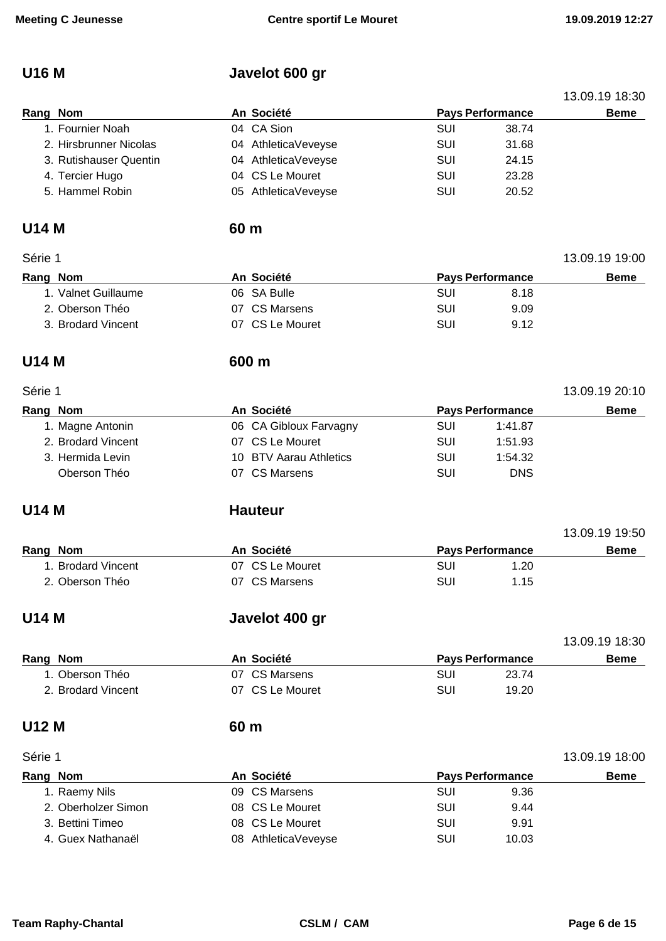# **U16 M Javelot 600 gr**

|                        |      |                        |            |                         | 13.09.19 18:30 |
|------------------------|------|------------------------|------------|-------------------------|----------------|
| Rang Nom               |      | An Société             |            | <b>Pays Performance</b> | <b>Beme</b>    |
| 1. Fournier Noah       |      | 04 CA Sion             | <b>SUI</b> | 38.74                   |                |
| 2. Hirsbrunner Nicolas |      | 04 AthleticaVeveyse    | <b>SUI</b> | 31.68                   |                |
| 3. Rutishauser Quentin |      | 04 AthleticaVeveyse    | <b>SUI</b> | 24.15                   |                |
| 4. Tercier Hugo        |      | 04 CS Le Mouret        | <b>SUI</b> | 23.28                   |                |
| 5. Hammel Robin        |      | 05 AthleticaVeveyse    | <b>SUI</b> | 20.52                   |                |
| <b>U14 M</b>           | 60 m |                        |            |                         |                |
| Série 1                |      |                        |            |                         | 13.09.19 19:00 |
| Rang Nom               |      | An Société             |            | <b>Pays Performance</b> | <b>Beme</b>    |
| 1. Valnet Guillaume    |      | 06 SA Bulle            | <b>SUI</b> | 8.18                    |                |
| 2. Oberson Théo        |      | 07 CS Marsens          | <b>SUI</b> | 9.09                    |                |
| 3. Brodard Vincent     |      | 07 CS Le Mouret        | <b>SUI</b> | 9.12                    |                |
| <b>U14 M</b>           |      | 600 m                  |            |                         |                |
| Série 1                |      |                        |            |                         | 13.09.19 20:10 |
| Rang Nom               |      | An Société             |            | <b>Pays Performance</b> | <b>Beme</b>    |
| 1. Magne Antonin       |      | 06 CA Gibloux Farvagny | <b>SUI</b> | 1:41.87                 |                |
| 2. Brodard Vincent     |      | 07 CS Le Mouret        | <b>SUI</b> | 1:51.93                 |                |
| 3. Hermida Levin       |      | 10 BTV Aarau Athletics | <b>SUI</b> | 1:54.32                 |                |
| Oberson Théo           |      | 07 CS Marsens          | SUI        | <b>DNS</b>              |                |
| <b>U14 M</b>           |      | <b>Hauteur</b>         |            |                         |                |
|                        |      |                        |            |                         | 13.09.19 19:50 |
| Rang Nom               |      | An Société             |            | <b>Pays Performance</b> | <b>Beme</b>    |
| 1. Brodard Vincent     |      | 07 CS Le Mouret        | SUI        | 1.20                    |                |
| 2. Oberson Théo        |      | 07 CS Marsens          | SUI        | 1.15                    |                |
| <b>U14 M</b>           |      | Javelot 400 gr         |            |                         |                |
|                        |      |                        |            |                         | 13.09.19 18:30 |
| Rang Nom               |      | An Société             |            | <b>Pays Performance</b> | <b>Beme</b>    |
| 1. Oberson Théo        |      | 07 CS Marsens          | <b>SUI</b> | 23.74                   |                |
| 2. Brodard Vincent     |      | 07 CS Le Mouret        | <b>SUI</b> | 19.20                   |                |
| <b>U12 M</b>           | 60 m |                        |            |                         |                |
| Série 1                |      |                        |            |                         | 13.09.19 18:00 |
| <b>Rang Nom</b>        |      | An Société             |            | <b>Pays Performance</b> | <b>Beme</b>    |
| 1. Raemy Nils          |      | 09 CS Marsens          | SUI        | 9.36                    |                |
| 2. Oberholzer Simon    |      | 08 CS Le Mouret        | <b>SUI</b> | 9.44                    |                |
| 3. Bettini Timeo       |      | 08 CS Le Mouret        | <b>SUI</b> | 9.91                    |                |
| 4. Guex Nathanaël      |      | 08 AthleticaVeveyse    | <b>SUI</b> | 10.03                   |                |
|                        |      |                        |            |                         |                |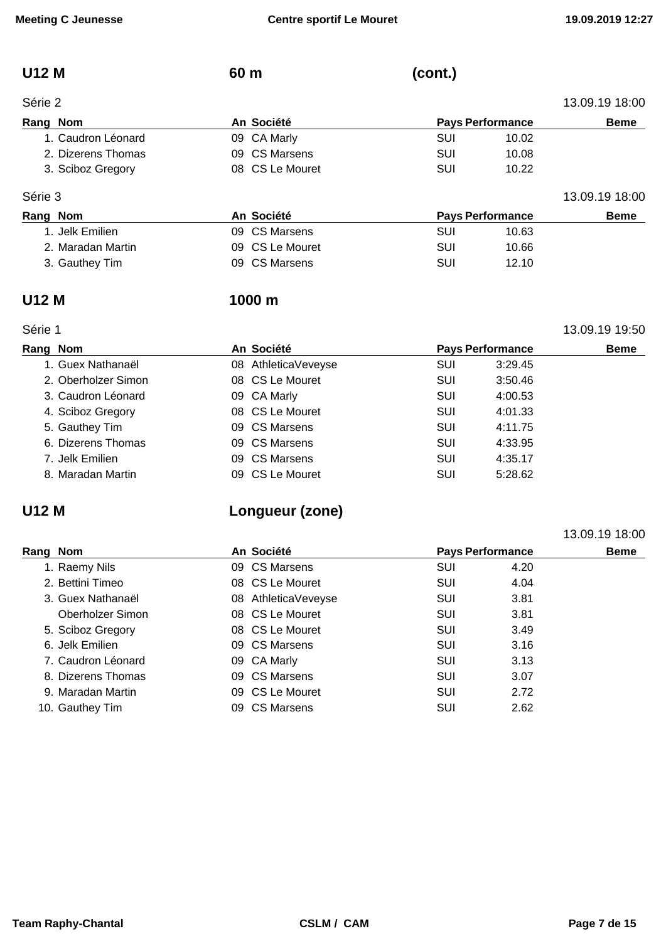# **U12 M 60 m (cont.)**

| Série 2            |                 |                         | 13.09.19 18:00 |                |
|--------------------|-----------------|-------------------------|----------------|----------------|
| Rang Nom           | An Société      | <b>Pays Performance</b> |                | <b>Beme</b>    |
| 1. Caudron Léonard | 09 CA Marly     | SUI                     | 10.02          |                |
| 2. Dizerens Thomas | 09 CS Marsens   | SUI                     | 10.08          |                |
| 3. Sciboz Gregory  | 08 CS Le Mouret | SUI                     | 10.22          |                |
| Série 3            |                 |                         |                | 13.09.19 18:00 |
| Rang Nom           | An Société      | <b>Pavs Performance</b> |                | Reme           |

| ----- |                   |                 | .                       |       |             |  |  |
|-------|-------------------|-----------------|-------------------------|-------|-------------|--|--|
|       | Rang Nom          | An Société      | <b>Pays Performance</b> |       | <b>Beme</b> |  |  |
|       | 1. Jelk Emilien.  | 09 CS Marsens   | SUI                     | 10.63 |             |  |  |
|       | 2. Maradan Martin | 09 CS Le Mouret | SUI                     | 10.66 |             |  |  |
|       | 3. Gauthey Tim    | 09 CS Marsens   | SUI                     | 12.10 |             |  |  |

### **U12 M 1000 m**

### Série 1 13.09.19 19:50

| Rang Nom            | An Société          | <b>Pays Performance</b> |         | <b>Beme</b> |
|---------------------|---------------------|-------------------------|---------|-------------|
| 1. Guex Nathanaël   | 08 AthleticaVeveyse | SUI                     | 3:29.45 |             |
| 2. Oberholzer Simon | 08 CS Le Mouret     | <b>SUI</b>              | 3:50.46 |             |
| 3. Caudron Léonard  | 09 CA Marly         | <b>SUI</b>              | 4:00.53 |             |
| 4. Sciboz Gregory   | 08 CS Le Mouret     | SUI                     | 4:01.33 |             |
| 5. Gauthey Tim      | 09 CS Marsens       | SUI                     | 4:11.75 |             |
| 6. Dizerens Thomas  | 09 CS Marsens       | SUI                     | 4:33.95 |             |
| 7. Jelk Emilien     | 09 CS Marsens       | SUI                     | 4:35.17 |             |
| 8. Maradan Martin   | 09 CS Le Mouret     | <b>SUI</b>              | 5:28.62 |             |

# **U12 M Longueur (zone)**

|          |                    |    |                     |                         |      | 13.09.19 18:00 |
|----------|--------------------|----|---------------------|-------------------------|------|----------------|
| Rang Nom |                    |    | An Société          | <b>Pays Performance</b> |      | <b>Beme</b>    |
|          | 1. Raemy Nils      |    | 09 CS Marsens       | <b>SUI</b>              | 4.20 |                |
|          | 2. Bettini Timeo   |    | 08 CS Le Mouret     | <b>SUI</b>              | 4.04 |                |
|          | 3. Guex Nathanaël  |    | 08 AthleticaVeveyse | <b>SUI</b>              | 3.81 |                |
|          | Oberholzer Simon   |    | 08 CS Le Mouret     | <b>SUI</b>              | 3.81 |                |
|          | 5. Sciboz Gregory  |    | 08 CS Le Mouret     | SUI                     | 3.49 |                |
|          | 6. Jelk Emilien    |    | 09 CS Marsens       | SUI                     | 3.16 |                |
|          | 7. Caudron Léonard |    | 09 CA Marly         | SUI                     | 3.13 |                |
|          | 8. Dizerens Thomas |    | 09 CS Marsens       | SUI                     | 3.07 |                |
|          | 9. Maradan Martin  |    | 09 CS Le Mouret     | SUI                     | 2.72 |                |
|          | 10. Gauthey Tim    | 09 | CS Marsens          | <b>SUI</b>              | 2.62 |                |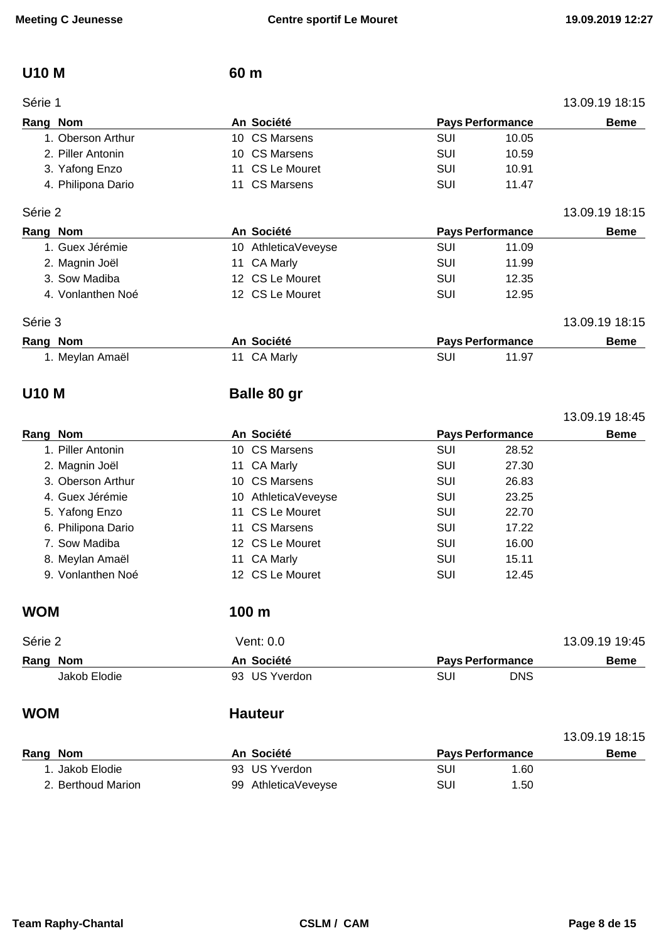### **U10 M 60 m**

|  | 13.09.19 18:1 |
|--|---------------|
|  |               |

| Série 1            |                     |            |                         | 13.09.19 18:15 |
|--------------------|---------------------|------------|-------------------------|----------------|
| Rang Nom           | An Société          |            | <b>Pays Performance</b> | <b>Beme</b>    |
| 1. Oberson Arthur  | 10 CS Marsens       | SUI        | 10.05                   |                |
| 2. Piller Antonin  | 10 CS Marsens       | SUI        | 10.59                   |                |
| 3. Yafong Enzo     | 11 CS Le Mouret     | <b>SUI</b> | 10.91                   |                |
| 4. Philipona Dario | 11 CS Marsens       | <b>SUI</b> | 11.47                   |                |
| Série 2            |                     |            |                         | 13.09.19 18:15 |
| Rang Nom           | An Société          |            | <b>Pays Performance</b> | <b>Beme</b>    |
| 1. Guex Jérémie    | 10 AthleticaVeveyse | SUI        | 11.09                   |                |
| 2. Magnin Joël     | 11 CA Marly         | SUI        | 11.99                   |                |
| 3. Sow Madiba      | 12 CS Le Mouret     | SUI        | 12.35                   |                |
| 4. Vonlanthen Noé  | 12 CS Le Mouret     | SUI        | 12.95                   |                |

### Série 3 13.09.19 18:15

| Rang Nom |                 | An Société  | <b>Pays Performance</b> |       | <b>Beme</b> |
|----------|-----------------|-------------|-------------------------|-------|-------------|
|          | 1. Meylan Amaël | 11 CA Marly | SUI                     | 11.97 |             |

# **U10 M Balle 80 gr**

|          |                    |            |                     |     |                         | 13.09.19 18:45 |
|----------|--------------------|------------|---------------------|-----|-------------------------|----------------|
| Rang Nom |                    | An Société |                     |     | <b>Pays Performance</b> | <b>Beme</b>    |
|          | 1. Piller Antonin  |            | 10 CS Marsens       | SUI | 28.52                   |                |
|          | 2. Magnin Joël     |            | 11 CA Marly         | SUI | 27.30                   |                |
|          | 3. Oberson Arthur  |            | 10 CS Marsens       | SUI | 26.83                   |                |
|          | 4. Guex Jérémie    |            | 10 AthleticaVeveyse | SUI | 23.25                   |                |
|          | 5. Yafong Enzo     |            | 11 CS Le Mouret     | SUI | 22.70                   |                |
|          | 6. Philipona Dario |            | 11 CS Marsens       | SUI | 17.22                   |                |
|          | 7. Sow Madiba      |            | 12 CS Le Mouret     | SUI | 16.00                   |                |
|          | 8. Meylan Amaël    |            | 11 CA Marly         | SUI | 15.11                   |                |
|          | 9. Vonlanthen Noé  |            | 12 CS Le Mouret     | SUI | 12.45                   |                |

### **WOM 100 m**

| Série 2      | Vent: 0.0 \   |                         | 13.09.19 19:45 |
|--------------|---------------|-------------------------|----------------|
| Rang Nom     | An Société    | <b>Pays Performance</b> | Beme           |
| Jakob Elodie | 93 US Yverdon | SUI<br>DNS              |                |

### **WOM Hauteur**

|                    |                     |                         |      | 13.09.19 18:15 |
|--------------------|---------------------|-------------------------|------|----------------|
| Rang Nom           | An Société          | <b>Pays Performance</b> |      | <b>Beme</b>    |
| I. Jakob Elodie    | 93 US Yverdon       | SUI                     | 1.60 |                |
| 2. Berthoud Marion | 99 AthleticaVeveyse | SUI                     | 1.50 |                |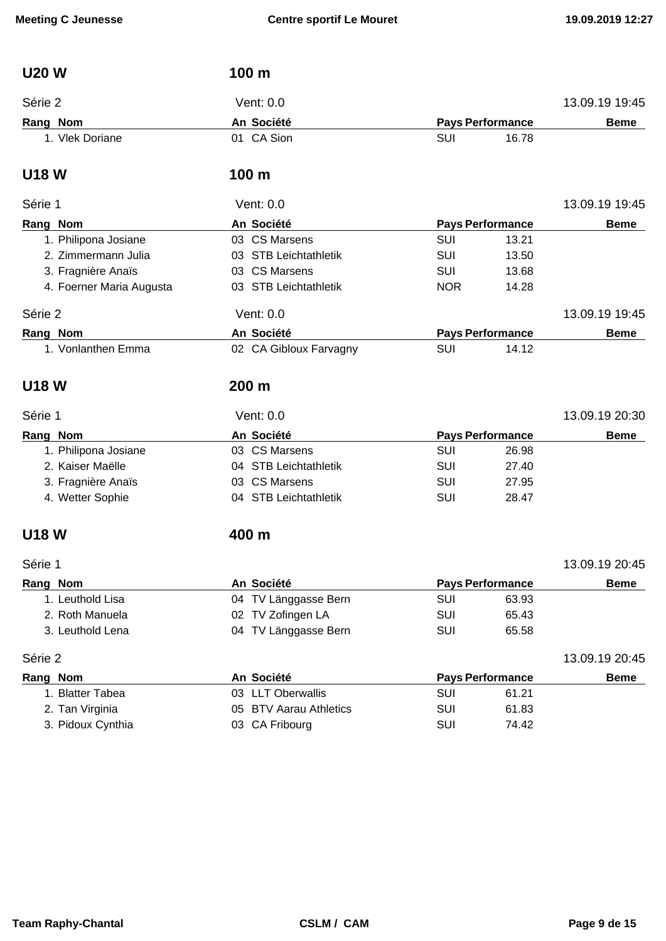| <b>U20W</b> |                          | 100 m                  |            |                         |                |
|-------------|--------------------------|------------------------|------------|-------------------------|----------------|
| Série 2     |                          | Vent: 0.0              |            |                         | 13.09.19 19:45 |
| Rang Nom    |                          | An Société             |            | <b>Pays Performance</b> | <b>Beme</b>    |
|             | 1. Vlek Doriane          | 01 CA Sion             | SUI        | 16.78                   |                |
| <b>U18W</b> |                          | 100 m                  |            |                         |                |
| Série 1     |                          | Vent: 0.0              |            |                         | 13.09.19 19:45 |
| Rang Nom    |                          | An Société             |            | <b>Pays Performance</b> | <b>Beme</b>    |
|             | 1. Philipona Josiane     | 03 CS Marsens          | SUI        | 13.21                   |                |
|             | 2. Zimmermann Julia      | 03 STB Leichtathletik  | SUI        | 13.50                   |                |
|             | 3. Fragnière Anaïs       | 03 CS Marsens          | <b>SUI</b> | 13.68                   |                |
|             | 4. Foerner Maria Augusta | 03 STB Leichtathletik  | <b>NOR</b> | 14.28                   |                |
| Série 2     |                          | Vent: 0.0              |            |                         | 13.09.19 19:45 |
| Rang Nom    |                          | An Société             |            | <b>Pays Performance</b> | <b>Beme</b>    |
|             | 1. Vonlanthen Emma       | 02 CA Gibloux Farvagny | SUI        | 14.12                   |                |
| <b>U18W</b> |                          | 200 m                  |            |                         |                |
| Série 1     |                          | Vent: 0.0              |            |                         | 13.09.19 20:30 |
| Rang Nom    |                          | An Société             |            | <b>Pays Performance</b> | <b>Beme</b>    |
|             | 1. Philipona Josiane     | 03 CS Marsens          | SUI        | 26.98                   |                |
|             | 2. Kaiser Maëlle         | 04 STB Leichtathletik  | SUI        | 27.40                   |                |
|             | 3. Fragnière Anaïs       | 03 CS Marsens          | SUI        | 27.95                   |                |
|             | 4. Wetter Sophie         | 04 STB Leichtathletik  | SUI        | 28.47                   |                |
| <b>U18W</b> |                          | 400 m                  |            |                         |                |
| Série 1     |                          |                        |            |                         | 13.09.19 20:45 |
| Rang Nom    |                          | An Société             |            | <b>Pays Performance</b> | <b>Beme</b>    |
|             | 1. Leuthold Lisa         | 04 TV Länggasse Bern   | SUI        | 63.93                   |                |
|             | 2. Roth Manuela          | 02 TV Zofingen LA      | SUI        | 65.43                   |                |
|             | 3. Leuthold Lena         | 04 TV Länggasse Bern   | SUI        | 65.58                   |                |
| Série 2     |                          |                        |            |                         | 13.09.19 20:45 |
| Rang Nom    |                          | An Société             |            | <b>Pays Performance</b> | <b>Beme</b>    |
|             | 1. Blatter Tabea         | 03 LLT Oberwallis      | SUI        | 61.21                   |                |
|             | 2. Tan Virginia          | 05 BTV Aarau Athletics | SUI        | 61.83                   |                |
|             | 3. Pidoux Cynthia        | 03 CA Fribourg         | SUI        | 74.42                   |                |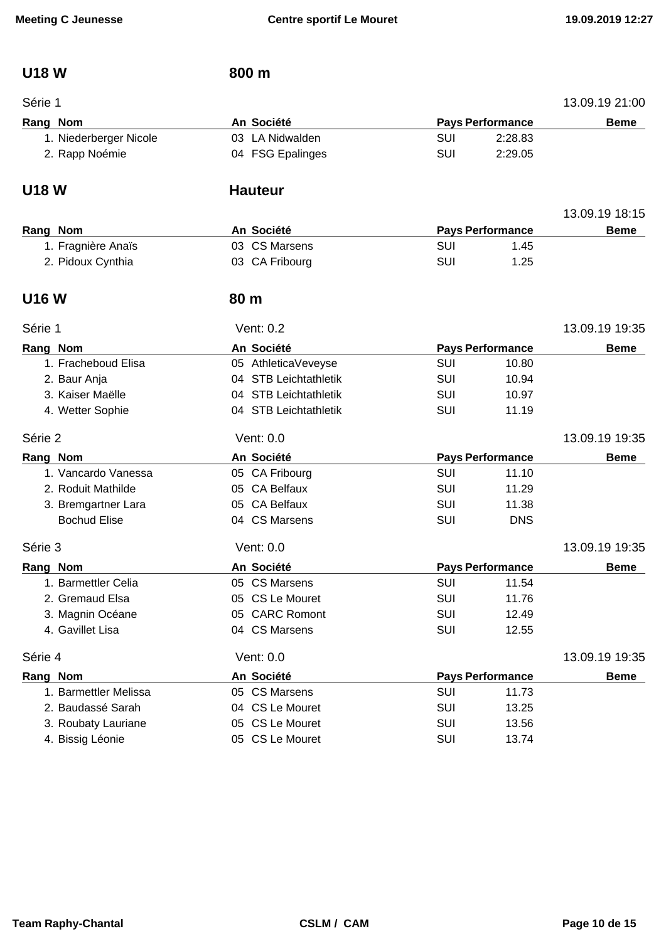## **U18 W 800 m**

| Série 1                |                       |            |                         | 13.09.19 21:00 |
|------------------------|-----------------------|------------|-------------------------|----------------|
| Rang Nom               | An Société            |            | <b>Pays Performance</b> | <b>Beme</b>    |
| 1. Niederberger Nicole | 03 LA Nidwalden       | <b>SUI</b> | 2:28.83                 |                |
| 2. Rapp Noémie         | 04 FSG Epalinges      | SUI        | 2:29.05                 |                |
| <b>U18 W</b>           | <b>Hauteur</b>        |            |                         |                |
|                        |                       |            |                         | 13.09.19 18:15 |
| Rang Nom               | An Société            |            | <b>Pays Performance</b> | <b>Beme</b>    |
| 1. Fragnière Anaïs     | 03 CS Marsens         | <b>SUI</b> | 1.45                    |                |
| 2. Pidoux Cynthia      | 03 CA Fribourg        | <b>SUI</b> | 1.25                    |                |
| <b>U16W</b>            | 80 <sub>m</sub>       |            |                         |                |
| Série 1                | Vent: 0.2             |            |                         | 13.09.19 19:35 |
| Rang Nom               | An Société            |            | <b>Pays Performance</b> | <b>Beme</b>    |
| 1. Fracheboud Elisa    | 05 AthleticaVeveyse   | SUI        | 10.80                   |                |
| 2. Baur Anja           | 04 STB Leichtathletik | <b>SUI</b> | 10.94                   |                |
| 3. Kaiser Maëlle       | 04 STB Leichtathletik | <b>SUI</b> | 10.97                   |                |
| 4. Wetter Sophie       | 04 STB Leichtathletik | <b>SUI</b> | 11.19                   |                |
| Série 2                | Vent: 0.0             |            |                         | 13.09.19 19:35 |
| Rang Nom               | An Société            |            | <b>Pays Performance</b> | <b>Beme</b>    |
| 1. Vancardo Vanessa    | 05 CA Fribourg        | SUI        | 11.10                   |                |
| 2. Roduit Mathilde     | 05 CA Belfaux         | <b>SUI</b> | 11.29                   |                |
| 3. Bremgartner Lara    | 05 CA Belfaux         | <b>SUI</b> | 11.38                   |                |
| <b>Bochud Elise</b>    | 04 CS Marsens         | <b>SUI</b> | <b>DNS</b>              |                |
| Série 3                | Vent: 0.0             |            |                         | 13.09.19 19:35 |
| Rang Nom               | An Société            |            | <b>Pays Performance</b> | <b>Beme</b>    |
| 1. Barmettler Celia    | 05 CS Marsens         | SUI        | 11.54                   |                |
| 2. Gremaud Elsa        | 05 CS Le Mouret       | SUI        | 11.76                   |                |
| 3. Magnin Océane       | 05 CARC Romont        | SUI        | 12.49                   |                |
| 4. Gavillet Lisa       | 04 CS Marsens         | SUI        | 12.55                   |                |
| Série 4                | Vent: 0.0             |            |                         | 13.09.19 19:35 |
| Rang Nom               | An Société            |            | <b>Pays Performance</b> | <b>Beme</b>    |
| 1. Barmettler Melissa  | 05 CS Marsens         | <b>SUI</b> | 11.73                   |                |
| 2. Baudassé Sarah      | 04 CS Le Mouret       | SUI        | 13.25                   |                |
| 3. Roubaty Lauriane    | 05 CS Le Mouret       | <b>SUI</b> | 13.56                   |                |
| 4. Bissig Léonie       | 05 CS Le Mouret       | SUI        | 13.74                   |                |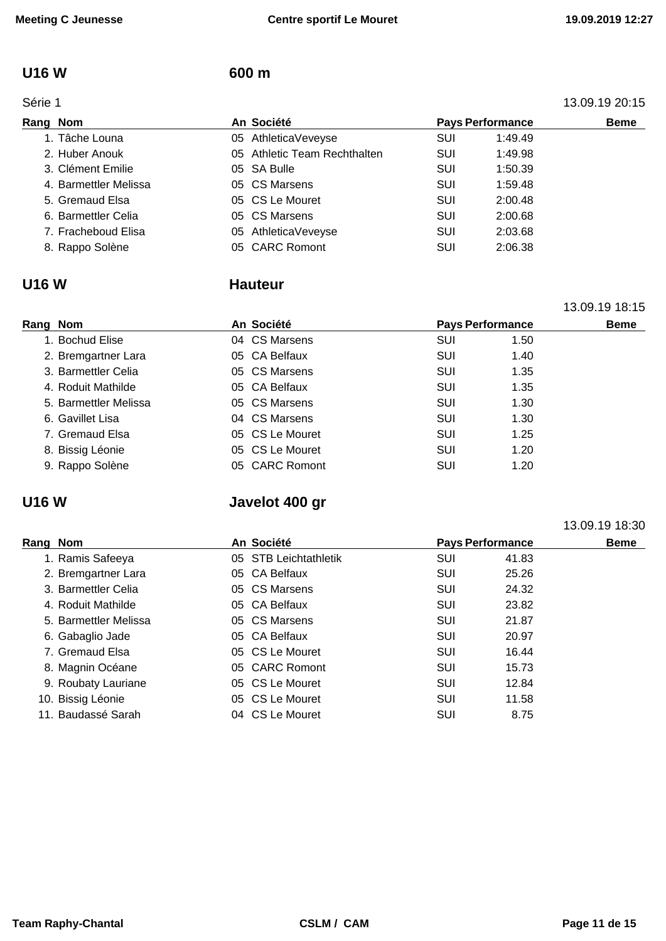13.09.19 18:15

13.09.19 18:30

### **U16 W 600 m**

|          | Série 1               |    |                              |            |                         | 13.09.19 20:15 |
|----------|-----------------------|----|------------------------------|------------|-------------------------|----------------|
| Rang Nom |                       |    | An Société                   |            | <b>Pays Performance</b> | <b>Beme</b>    |
|          | 1. Tâche Louna        |    | 05 AthleticaVeveyse          | <b>SUI</b> | 1:49.49                 |                |
|          | 2. Huber Anouk        |    | 05 Athletic Team Rechthalten | <b>SUI</b> | 1:49.98                 |                |
|          | 3. Clément Emilie     |    | 05 SA Bulle                  | SUI        | 1:50.39                 |                |
|          | 4. Barmettler Melissa |    | 05 CS Marsens                | SUI        | 1:59.48                 |                |
|          | 5. Gremaud Elsa       |    | 05 CS Le Mouret              | SUI        | 2:00.48                 |                |
|          | 6. Barmettler Celia   |    | 05 CS Marsens                | SUI        | 2:00.68                 |                |
|          | 7. Fracheboud Elisa   | 05 | AthleticaVeveyse             | SUI        | 2:03.68                 |                |
|          | 8. Rappo Solène       |    | 05 CARC Romont               | SUI        | 2:06.38                 |                |

### **U16 W Hauteur**

| Rang Nom              | An Société      | <b>Pays Performance</b> |      | <b>Beme</b> |
|-----------------------|-----------------|-------------------------|------|-------------|
| 1. Bochud Elise       | 04 CS Marsens   | <b>SUI</b>              | 1.50 |             |
| 2. Bremgartner Lara   | 05 CA Belfaux   | SUI                     | 1.40 |             |
| 3. Barmettler Celia   | 05 CS Marsens   | SUI                     | 1.35 |             |
| 4. Roduit Mathilde    | 05 CA Belfaux   | SUI                     | 1.35 |             |
| 5. Barmettler Melissa | 05 CS Marsens   | SUI                     | 1.30 |             |
| 6. Gavillet Lisa      | 04 CS Marsens   | SUI                     | 1.30 |             |
| 7. Gremaud Elsa       | 05 CS Le Mouret | SUI                     | 1.25 |             |
| 8. Bissig Léonie      | 05 CS Le Mouret | SUI                     | 1.20 |             |
| 9. Rappo Solène       | 05 CARC Romont  | SUI                     | 1.20 |             |
|                       |                 |                         |      |             |

# **U16 W Javelot 400 gr**

| Rang Nom |                       | An Société            |            | <b>Pays Performance</b> |  |  |
|----------|-----------------------|-----------------------|------------|-------------------------|--|--|
|          | 1. Ramis Safeeya      | 05 STB Leichtathletik | SUI        | 41.83                   |  |  |
|          | 2. Bremgartner Lara   | 05 CA Belfaux         | <b>SUI</b> | 25.26                   |  |  |
|          | 3. Barmettler Celia   | 05 CS Marsens         | <b>SUI</b> | 24.32                   |  |  |
|          | 4. Roduit Mathilde    | 05 CA Belfaux         | SUI        | 23.82                   |  |  |
|          | 5. Barmettler Melissa | 05 CS Marsens         | SUI        | 21.87                   |  |  |
|          | 6. Gabaglio Jade      | 05 CA Belfaux         | SUI        | 20.97                   |  |  |
|          | 7. Gremaud Elsa       | 05 CS Le Mouret       | <b>SUI</b> | 16.44                   |  |  |
|          | 8. Magnin Océane      | 05 CARC Romont        | SUI        | 15.73                   |  |  |
|          | 9. Roubaty Lauriane   | 05 CS Le Mouret       | SUI        | 12.84                   |  |  |
|          | 10. Bissig Léonie     | 05 CS Le Mouret       | SUI        | 11.58                   |  |  |
|          | 11. Baudassé Sarah    | 04 CS Le Mouret       | SUI        | 8.75                    |  |  |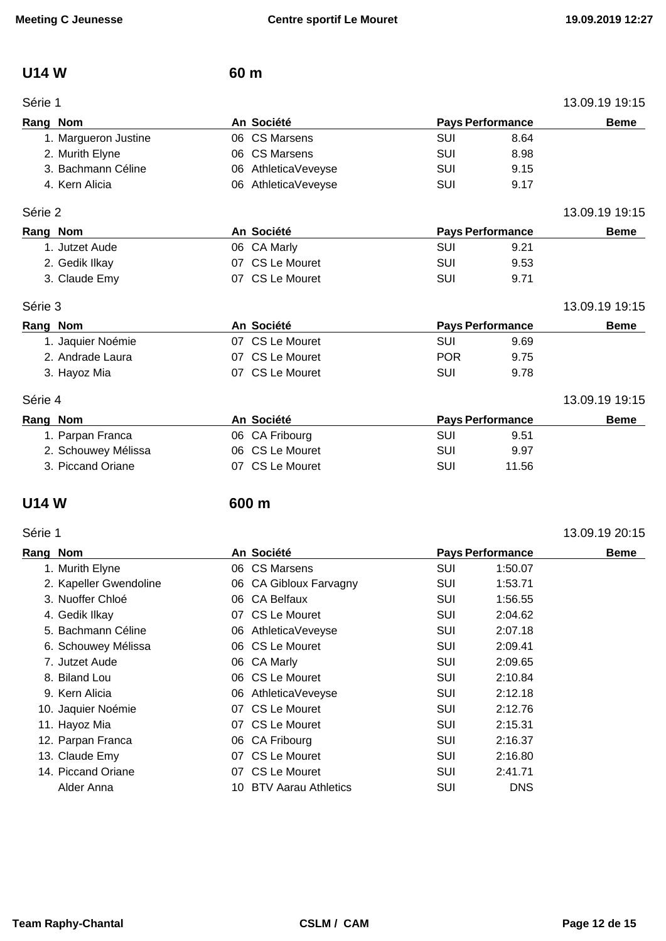## **U14 W 60 m**

| Série 1              |                         |            |                         | 13.09.19 19:15 |
|----------------------|-------------------------|------------|-------------------------|----------------|
| Rang Nom             | An Société              |            | <b>Pays Performance</b> | <b>Beme</b>    |
| 1. Margueron Justine | 06 CS Marsens           | SUI        | 8.64                    |                |
| 2. Murith Elyne      | <b>CS Marsens</b><br>06 | SUI        | 8.98                    |                |
| 3. Bachmann Céline   | AthleticaVeveyse<br>06  | SUI        | 9.15                    |                |
| 4. Kern Alicia       | AthleticaVeveyse<br>06  | SUI        | 9.17                    |                |
| Série 2              |                         |            |                         | 13.09.19 19:15 |
| Rang Nom             | An Société              |            | <b>Pays Performance</b> | <b>Beme</b>    |
| 1. Jutzet Aude       | 06 CA Marly             | <b>SUI</b> | 9.21                    |                |
| 2. Gedik Ilkay       | CS Le Mouret<br>07      | <b>SUI</b> | 9.53                    |                |
| 3. Claude Emy        | 07 CS Le Mouret         | SUI        | 9.71                    |                |
| Série 3              |                         |            |                         | 13.09.19 19:15 |
| Rang Nom             | An Société              |            | <b>Pays Performance</b> | <b>Beme</b>    |
| 1. Jaquier Noémie    | 07 CS Le Mouret         | <b>SUI</b> | 9.69                    |                |
| 2. Andrade Laura     | CS Le Mouret<br>07      | <b>POR</b> | 9.75                    |                |
| 3. Hayoz Mia         | 07 CS Le Mouret         | <b>SUI</b> | 9.78                    |                |
| Série 4              |                         |            |                         | 13.09.19 19:15 |
| Rang Nom             | An Société              |            | <b>Pays Performance</b> | <b>Beme</b>    |
| 1. Parpan Franca     | 06 CA Fribourg          | SUI        | 9.51                    |                |
| 2. Schouwey Mélissa  | 06 CS Le Mouret         | SUI        | 9.97                    |                |
| 3. Piccand Oriane    | CS Le Mouret<br>07      | SUI        | 11.56                   |                |

### **U14 W 600 m**

| Série 1  |                        |                        |            |                         | 13.09.19 20:15 |
|----------|------------------------|------------------------|------------|-------------------------|----------------|
| Rang Nom |                        | An Société             |            | <b>Pays Performance</b> | <b>Beme</b>    |
|          | 1. Murith Elyne        | 06 CS Marsens          | SUI        | 1:50.07                 |                |
|          | 2. Kapeller Gwendoline | 06 CA Gibloux Farvagny | <b>SUI</b> | 1:53.71                 |                |
|          | 3. Nuoffer Chloé       | 06 CA Belfaux          | <b>SUI</b> | 1:56.55                 |                |
|          | 4. Gedik Ilkay         | 07 CS Le Mouret        | <b>SUI</b> | 2:04.62                 |                |
|          | 5. Bachmann Céline     | 06 AthleticaVeveyse    | <b>SUI</b> | 2:07.18                 |                |
|          | 6. Schouwey Mélissa    | 06 CS Le Mouret        | SUI        | 2:09.41                 |                |
|          | 7. Jutzet Aude         | 06 CA Marly            | <b>SUI</b> | 2:09.65                 |                |
|          | 8. Biland Lou          | 06 CS Le Mouret        | <b>SUI</b> | 2:10.84                 |                |
|          | 9. Kern Alicia         | 06 AthleticaVeveyse    | <b>SUI</b> | 2:12.18                 |                |
|          | 10. Jaquier Noémie     | 07 CS Le Mouret        | SUI        | 2:12.76                 |                |
|          | 11. Hayoz Mia          | 07 CS Le Mouret        | <b>SUI</b> | 2:15.31                 |                |
|          | 12. Parpan Franca      | 06 CA Fribourg         | SUI        | 2:16.37                 |                |
|          | 13. Claude Emy         | 07 CS Le Mouret        | <b>SUI</b> | 2:16.80                 |                |
|          | 14. Piccand Oriane     | 07 CS Le Mouret        | SUI        | 2:41.71                 |                |
|          | Alder Anna             | 10 BTV Aarau Athletics | <b>SUI</b> | <b>DNS</b>              |                |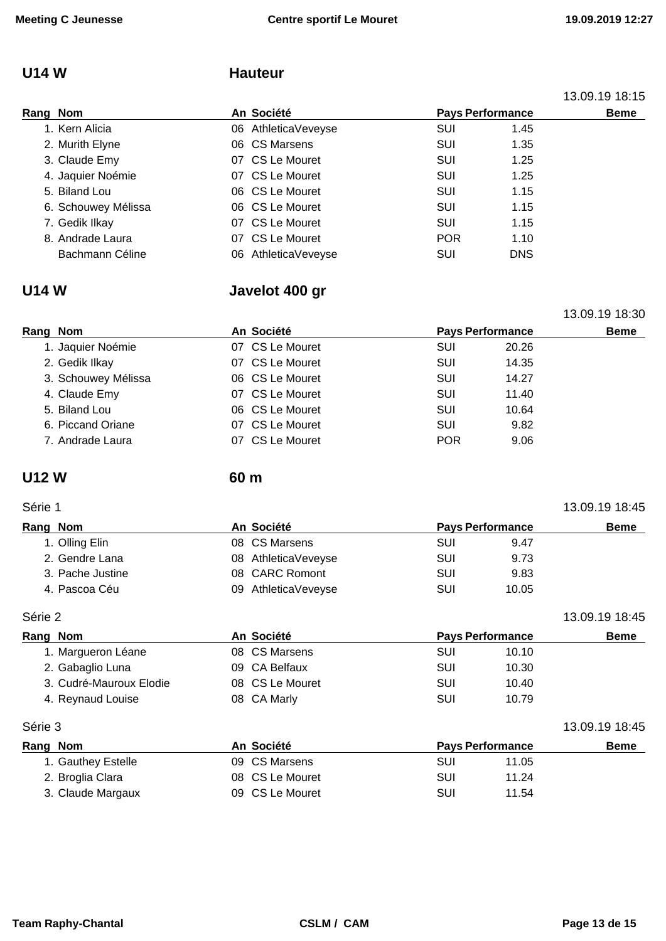# **U14 W Hauteur**

|          |                     |  |                     |            |            | 13.09.19 18:15          |  |
|----------|---------------------|--|---------------------|------------|------------|-------------------------|--|
| Rang Nom |                     |  |                     | An Société |            | <b>Pays Performance</b> |  |
|          | 1. Kern Alicia      |  | 06 AthleticaVeveyse | <b>SUI</b> | 1.45       |                         |  |
|          | 2. Murith Elyne     |  | 06 CS Marsens       | SUI        | 1.35       |                         |  |
|          | 3. Claude Emy       |  | 07 CS Le Mouret     | SUI        | 1.25       |                         |  |
|          | 4. Jaquier Noémie   |  | 07 CS Le Mouret     | SUI        | 1.25       |                         |  |
|          | 5. Biland Lou       |  | 06 CS Le Mouret     | SUI        | 1.15       |                         |  |
|          | 6. Schouwey Mélissa |  | 06 CS Le Mouret     | SUI        | 1.15       |                         |  |
|          | 7. Gedik Ilkay      |  | 07 CS Le Mouret     | SUI        | 1.15       |                         |  |
|          | 8. Andrade Laura    |  | 07 CS Le Mouret     | <b>POR</b> | 1.10       |                         |  |
|          | Bachmann Céline     |  | 06 AthleticaVeveyse | SUI        | <b>DNS</b> |                         |  |

# **U14 W Javelot 400 gr**

|                     |  |                                                                                                                                                 |       | 13.09.19 18:30          |
|---------------------|--|-------------------------------------------------------------------------------------------------------------------------------------------------|-------|-------------------------|
| Rang Nom            |  |                                                                                                                                                 |       | <b>Beme</b>             |
| 1. Jaquier Noémie   |  | <b>SUI</b>                                                                                                                                      | 20.26 |                         |
| 2. Gedik Ilkay      |  | <b>SUI</b>                                                                                                                                      | 14.35 |                         |
| 3. Schouwey Mélissa |  | SUI                                                                                                                                             | 14.27 |                         |
| 4. Claude Emy       |  | SUI                                                                                                                                             | 11.40 |                         |
| 5. Biland Lou       |  | SUI                                                                                                                                             | 10.64 |                         |
| 6. Piccand Oriane   |  | SUI                                                                                                                                             | 9.82  |                         |
| 7. Andrade Laura    |  | <b>POR</b>                                                                                                                                      | 9.06  |                         |
|                     |  | An Société<br>07 CS Le Mouret<br>07 CS Le Mouret<br>06 CS Le Mouret<br>07 CS Le Mouret<br>06 CS Le Mouret<br>07 CS Le Mouret<br>07 CS Le Mouret |       | <b>Pays Performance</b> |

# **U12 W 60 m**

# Série 1 13.09.19 18:45

| Rang Nom |                  | An Société          | <b>Pays Performance</b> |       | <b>Beme</b> |
|----------|------------------|---------------------|-------------------------|-------|-------------|
|          | 1. Olling Elin   | 08 CS Marsens       | SUI                     | 9.47  |             |
|          | 2. Gendre Lana   | 08 AthleticaVeveyse | SUI                     | 9.73  |             |
|          | 3. Pache Justine | 08 CARC Romont      | SUI                     | 9.83  |             |
|          | 4. Pascoa Céu    | 09 AthleticaVeveyse | SUI                     | 10.05 |             |

Série 2 13.09.19 18:45

| Rang Nom                | An Société      |     | <b>Pays Performance</b> | <b>Beme</b>    |
|-------------------------|-----------------|-----|-------------------------|----------------|
| 1. Margueron Léane      | 08 CS Marsens   | SUI | 10.10                   |                |
| 2. Gabaglio Luna        | 09 CA Belfaux   | SUI | 10.30                   |                |
| 3. Cudré-Mauroux Elodie | 08 CS Le Mouret | SUI | 10.40                   |                |
| 4. Reynaud Louise       | 08 CA Marly     | SUI | 10.79                   |                |
| Série 3                 |                 |     |                         | 13.09.19 18:45 |

| Rang Nom           | An Société      | <b>Pays Performance</b> | <b>Beme</b> |
|--------------------|-----------------|-------------------------|-------------|
| 1. Gauthey Estelle | 09 CS Marsens   | SUI<br>11.05            |             |
| 2. Broglia Clara   | 08 CS Le Mouret | SUI<br>11.24            |             |
| 3. Claude Margaux  | 09 CS Le Mouret | SUI<br>11.54            |             |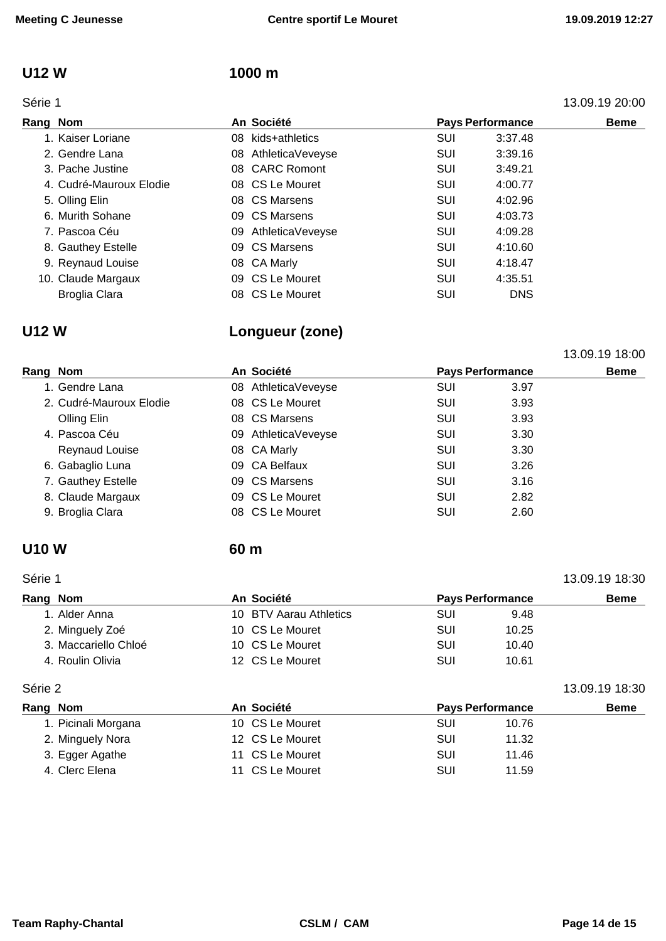### **U12 W 1000 m**

### Série 1 13.09.19 20:00

| Rang Nom                | An Société          |     | <b>Pays Performance</b> | <b>Beme</b> |
|-------------------------|---------------------|-----|-------------------------|-------------|
| 1. Kaiser Loriane       | 08 kids+athletics   | SUI | 3:37.48                 |             |
| 2. Gendre Lana          | 08 AthleticaVeveyse | SUI | 3:39.16                 |             |
| 3. Pache Justine        | 08 CARC Romont      | SUI | 3:49.21                 |             |
| 4. Cudré-Mauroux Elodie | 08 CS Le Mouret     | SUI | 4:00.77                 |             |
| 5. Olling Elin          | 08 CS Marsens       | SUI | 4:02.96                 |             |
| 6. Murith Sohane        | 09 CS Marsens       | SUI | 4:03.73                 |             |
| 7. Pascoa Céu           | 09 AthleticaVeveyse | SUI | 4:09.28                 |             |
| 8. Gauthey Estelle      | 09 CS Marsens       | SUI | 4:10.60                 |             |
| 9. Reynaud Louise       | 08 CA Marly         | SUI | 4:18.47                 |             |
| 10. Claude Margaux      | 09 CS Le Mouret     | SUI | 4:35.51                 |             |
| <b>Broglia Clara</b>    | 08 CS Le Mouret     | SUI | <b>DNS</b>              |             |

# **U12 W Longueur (zone)**

|                         |            |                     |                         |      | 13.09.19 18:00 |  |
|-------------------------|------------|---------------------|-------------------------|------|----------------|--|
| Rang Nom                | An Société |                     | <b>Pays Performance</b> |      | <b>Beme</b>    |  |
| 1. Gendre Lana          |            | 08 AthleticaVeveyse | SUI                     | 3.97 |                |  |
| 2. Cudré-Mauroux Elodie |            | 08 CS Le Mouret     | SUI                     | 3.93 |                |  |
| Olling Elin             |            | 08 CS Marsens       | SUI                     | 3.93 |                |  |
| 4. Pascoa Céu           |            | 09 AthleticaVeveyse | SUI                     | 3.30 |                |  |
| <b>Reynaud Louise</b>   |            | 08 CA Marly         | SUI                     | 3.30 |                |  |
| 6. Gabaglio Luna        |            | 09 CA Belfaux       | SUI                     | 3.26 |                |  |
| 7. Gauthey Estelle      |            | 09 CS Marsens       | SUI                     | 3.16 |                |  |
| 8. Claude Margaux       |            | 09 CS Le Mouret     | SUI                     | 2.82 |                |  |
| 9. Broglia Clara        |            | 08 CS Le Mouret     | SUI                     | 2.60 |                |  |

### **U10 W 60 m**

# Série 1 13.09.19 18:30 **Rang Nom An Société Pays Performance Beme** 1. Alder Anna 10 BTV Aarau Athletics SUI 9.48 2. Minguely Zoé **10 CS Le Mouret** SUI 10.25 3. Maccariello Chloé **10 CS Le Mouret** SUI 50.40 4. Roulin Olivia **12 CS Le Mouret 50 Line SUI** 10.61 Série 2 13.09.19 18:30

| Rang Nom            | An Société      | <b>Pays Performance</b> | <b>Beme</b> |
|---------------------|-----------------|-------------------------|-------------|
| 1. Picinali Morgana | 10 CS Le Mouret | 10.76<br>SUI            |             |
| 2. Minguely Nora    | 12 CS Le Mouret | SUI<br>11.32            |             |
| 3. Egger Agathe     | 11 CS Le Mouret | SUI<br>11.46            |             |
| 4. Clerc Elena      | 11 CS Le Mouret | SUI<br>11.59            |             |